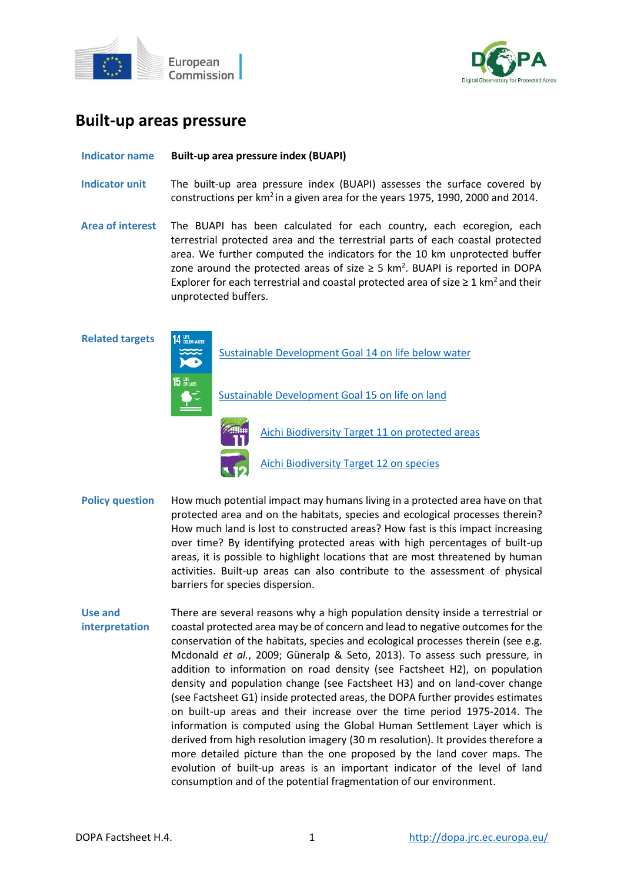



# **Built-up areas pressure**

## **Indicator name Built-up area pressure index (BUAPI)**

- **Indicator unit** The built-up area pressure index (BUAPI) assesses the surface covered by constructions per km<sup>2</sup> in a given area for the years 1975, 1990, 2000 and 2014.
- **Area of interest** The BUAPI has been calculated for each country, each ecoregion, each terrestrial protected area and the terrestrial parts of each coastal protected area. We further computed the indicators for the 10 km unprotected buffer zone around the protected areas of size  $\geq$  5 km<sup>2</sup>. BUAPI is reported in DOPA Explorer for each terrestrial and coastal protected area of size  $\geq 1$  km<sup>2</sup> and their unprotected buffers.

**Related targets**

[Sustainable Development Goal 14](https://sdgs.un.org/goals/goal14) on life below water

[Sustainable Development Goal 15 on life on land](https://sdgs.un.org/goals/goal15)



[Aichi Biodiversity Target 11 on protected areas](http://www.cbd.int/sp/targets/rationale/target-11/)

[Aichi Biodiversity Target 12 on species](http://www.cbd.int/sp/targets/rationale/target-12/)

- **Policy question** How much potential impact may humans living in a protected area have on that protected area and on the habitats, species and ecological processes therein? How much land is lost to constructed areas? How fast is this impact increasing over time? By identifying protected areas with high percentages of built-up areas, it is possible to highlight locations that are most threatened by human activities. Built-up areas can also contribute to the assessment of physical barriers for species dispersion.
- **Use and interpretation** There are several reasons why a high population density inside a terrestrial or coastal protected area may be of concern and lead to negative outcomes for the conservation of the habitats, species and ecological processes therein (see e.g. Mcdonald *et al.*, 2009; Güneralp & Seto, 2013). To assess such pressure, in addition to information on road density (see Factsheet H2), on population density and population change (see Factsheet H3) and on land-cover change (see Factsheet G1) inside protected areas, the DOPA further provides estimates on built-up areas and their increase over the time period 1975-2014. The information is computed using the Global Human Settlement Layer which is derived from high resolution imagery (30 m resolution). It provides therefore a more detailed picture than the one proposed by the land cover maps. The evolution of built-up areas is an important indicator of the level of land consumption and of the potential fragmentation of our environment.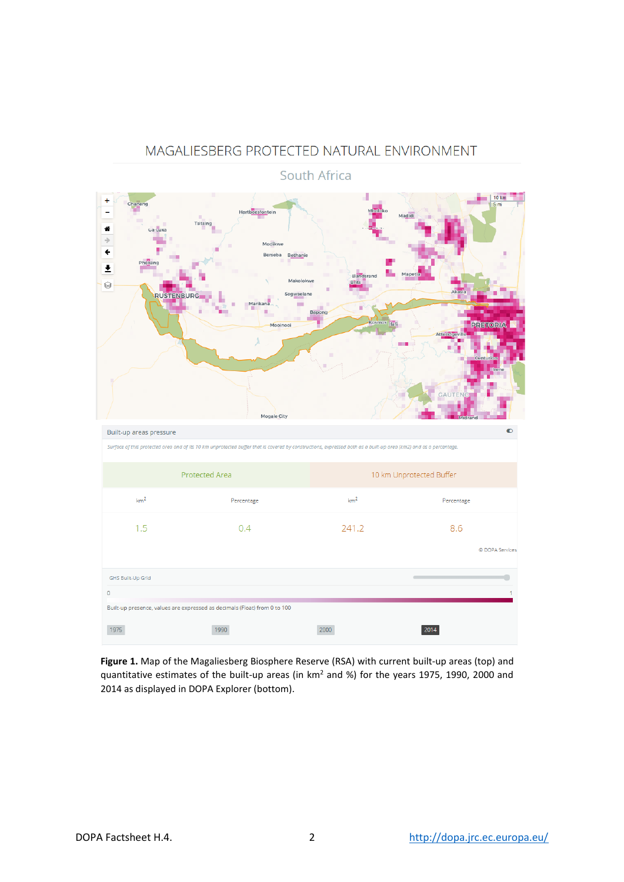## MAGALIESBERG PROTECTED NATURAL ENVIRONMENT



South Africa

**Figure 1.** Map of the Magaliesberg Biosphere Reserve (RSA) with current built-up areas (top) and quantitative estimates of the built-up areas (in km<sup>2</sup> and %) for the years 1975, 1990, 2000 and 2014 as displayed in DOPA Explorer (bottom).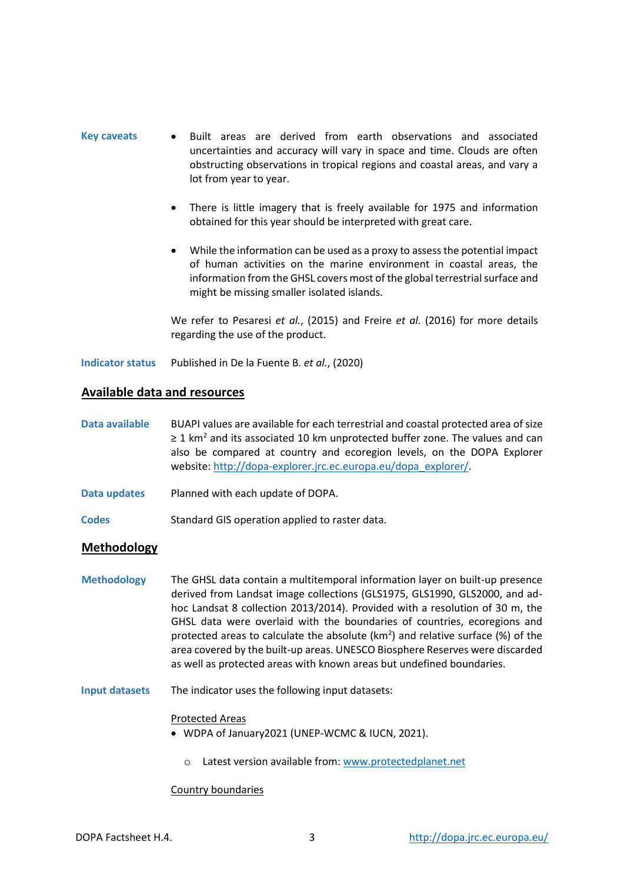- **Key caveats** Built areas are derived from earth observations and associated uncertainties and accuracy will vary in space and time. Clouds are often obstructing observations in tropical regions and coastal areas, and vary a lot from year to year.
	- There is little imagery that is freely available for 1975 and information obtained for this year should be interpreted with great care.
	- While the information can be used as a proxy to assess the potential impact of human activities on the marine environment in coastal areas, the information from the GHSL covers most of the global terrestrial surface and might be missing smaller isolated islands.

We refer to Pesaresi *et al.*, (2015) and Freire *et al.* (2016) for more details regarding the use of the product.

**Indicator status** Published in De la Fuente B. *et al.*, (2020)

## **Available data and resources**

- **Data available** BUAPI values are available for each terrestrial and coastal protected area of size  $\geq$  1 km<sup>2</sup> and its associated 10 km unprotected buffer zone. The values and can also be compared at country and ecoregion levels, on the DOPA Explorer website[: http://dopa-explorer.jrc.ec.europa.eu/dopa\\_explorer/.](http://dopa-explorer.jrc.ec.europa.eu/dopa_explorer/)
- **Data updates** Planned with each update of DOPA.
- **Codes** Standard GIS operation applied to raster data.

## **Methodology**

- **Methodology** The GHSL data contain a multitemporal information layer on built-up presence derived from Landsat image collections (GLS1975, GLS1990, GLS2000, and adhoc Landsat 8 collection 2013/2014). Provided with a resolution of 30 m, the GHSL data were overlaid with the boundaries of countries, ecoregions and protected areas to calculate the absolute ( $km<sup>2</sup>$ ) and relative surface (%) of the area covered by the built-up areas. UNESCO Biosphere Reserves were discarded as well as protected areas with known areas but undefined boundaries.
- **Input datasets** The indicator uses the following input datasets:

### Protected Areas

- WDPA of January2021 (UNEP-WCMC & IUCN, 2021).
	- o Latest version available from[: www.protectedplanet.net](http://www.protectedplanet.net/)

### Country boundaries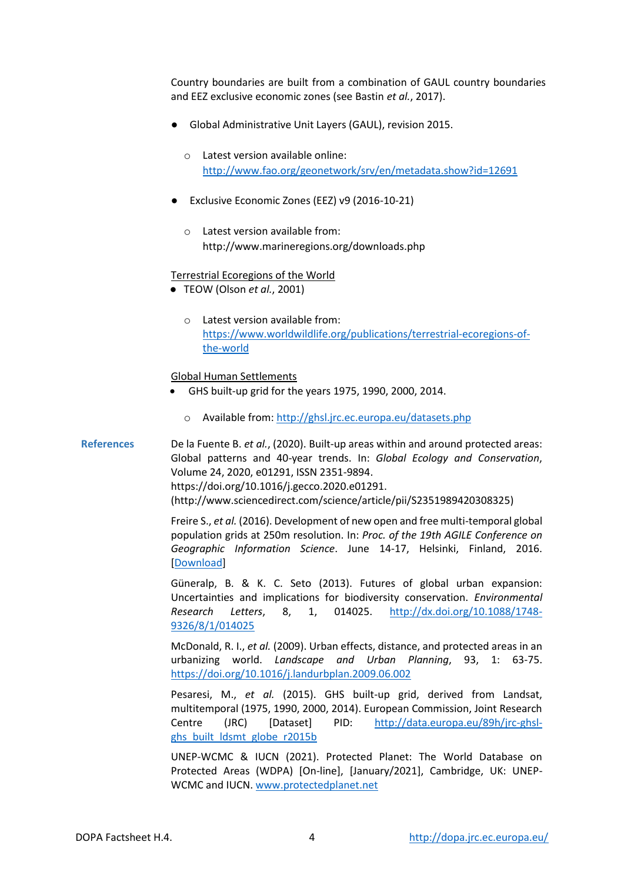Country boundaries are built from a combination of GAUL country boundaries and EEZ exclusive economic zones (see Bastin *et al.*, 2017).

- Global Administrative Unit Layers (GAUL), revision 2015.
	- o Latest version available online: <http://www.fao.org/geonetwork/srv/en/metadata.show?id=12691>
- Exclusive Economic Zones (EEZ) v9 (2016-10-21)
	- o Latest version available from: <http://www.marineregions.org/downloads.php>

#### Terrestrial Ecoregions of the World

- TEOW (Olson *et al.*, 2001)
	- o Latest version available from: [https://www.worldwildlife.org/publications/terrestrial-ecoregions-of](https://www.worldwildlife.org/publications/terrestrial-ecoregions-of-the-world)[the-world](https://www.worldwildlife.org/publications/terrestrial-ecoregions-of-the-world)

#### Global Human Settlements

- GHS built-up grid for the years 1975, 1990, 2000, 2014.
	- o Available from: http://ghsl.jrc.ec.europa.eu/datasets.php

**References** De la Fuente B. *et al.*, (2020). Built-up areas within and around protected areas: Global patterns and 40-year trends. In: *Global Ecology and Conservation*, Volume 24, 2020, e01291, ISSN 2351-9894. https://doi.org/10.1016/j.gecco.2020.e01291. (http://www.sciencedirect.com/science/article/pii/S2351989420308325)

> Freire S., *et al.* (2016). Development of new open and free multi-temporal global population grids at 250m resolution. In: *Proc. of the 19th AGILE Conference on Geographic Information Science*. June 14-17, Helsinki, Finland, 2016. [\[Download\]](https://agile-online.org/conference_paper/cds/agile_2016/shortpapers/152_Paper_in_PDF.pdf)

> Güneralp, B. & K. C. Seto (2013). Futures of global urban expansion: Uncertainties and implications for biodiversity conservation. *Environmental Research Letters*, 8, 1, 014025. [http://dx.doi.org/10.1088/1748-](http://dx.doi.org/10.1088/1748-9326/8/1/014025) [9326/8/1/014025](http://dx.doi.org/10.1088/1748-9326/8/1/014025)

> McDonald, R. I., *et al.* (2009). Urban effects, distance, and protected areas in an urbanizing world. *Landscape and Urban Planning*, 93, 1: 63-75. <https://doi.org/10.1016/j.landurbplan.2009.06.002>

> Pesaresi, M., *et al.* (2015). GHS built-up grid, derived from Landsat, multitemporal (1975, 1990, 2000, 2014). European Commission, Joint Research Centre (JRC) [Dataset] PID: [http://data.europa.eu/89h/jrc-ghsl](http://data.europa.eu/89h/jrc-ghsl-ghs_built_ldsmt_globe_r2015b)[ghs\\_built\\_ldsmt\\_globe\\_r2015b](http://data.europa.eu/89h/jrc-ghsl-ghs_built_ldsmt_globe_r2015b)

> UNEP-WCMC & IUCN (2021). Protected Planet: The World Database on Protected Areas (WDPA) [On-line], [January/2021], Cambridge, UK: UNEP-WCMC and IUCN. [www.protectedplanet.net](http://www.protectedplanet.net/)